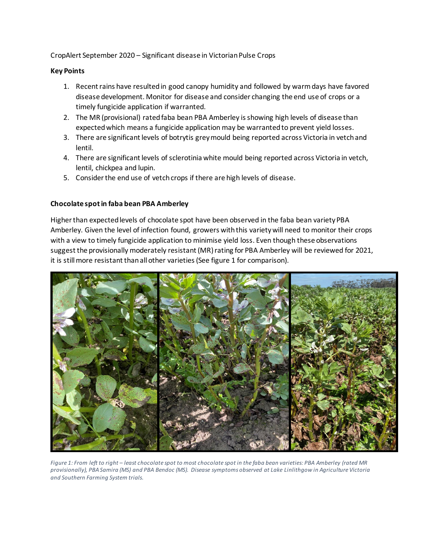CropAlert September 2020 – Significant disease in Victorian Pulse Crops

## **Key Points**

- 1. Recent rains have resulted in good canopy humidity and followed by warm days have favored disease development. Monitor for disease and consider changing the end use of crops or a timely fungicide application if warranted.
- 2. The MR (provisional) rated faba bean PBA Amberley is showing high levels of disease than expected which means a fungicide application may be warrantedto prevent yield losses.
- 3. There are significant levels of botrytis grey mould being reported across Victoria in vetchand lentil.
- 4. There are significant levels of sclerotinia white mould being reported across Victoria in vetch, lentil, chickpea and lupin.
- 5. Consider the end use of vetch crops if there are high levels of disease.

# **Chocolate spot in faba bean PBA Amberley**

Higher than expected levels of chocolate spot have been observed in the faba bean variety PBA Amberley. Given the level of infection found, growers with this varietywill need to monitor their crops with a view to timely fungicide application to minimise yield loss. Even though these observations suggest the provisionally moderately resistant (MR) rating for PBA Amberley will be reviewed for 2021, it is still more resistant than all other varieties (See figure 1 for comparison).



*Figure 1: From left to right – least chocolate spot to most chocolate spot in the faba bean varieties: PBA Amberley (rated MR provisionally), PBA Samira (MS) and PBA Bendoc (MS). Disease symptoms observed at Lake Linlithgow in Agriculture Victoria and Southern Farming System trials.*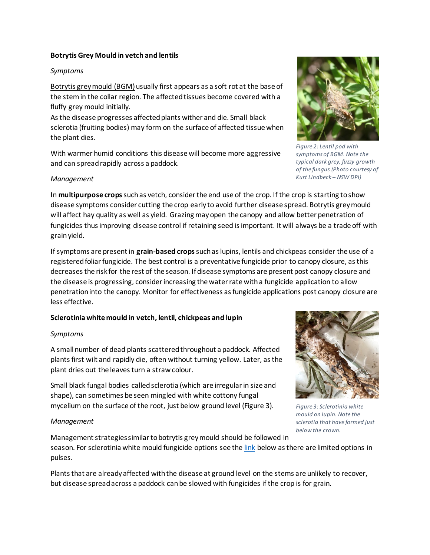#### **Botrytis Grey Mould in vetch and lentils**

#### *Symptoms*

Botrytis grey mould (BGM)usually first appears as a soft rot at the base of the stem in the collar region. The affected tissues become covered with a fluffy grey mould initially.

As the disease progresses affected plants wither and die. Small black sclerotia (fruiting bodies) may form on the surface of affected tissue when the plant dies.

With warmer humid conditions this disease will become more aggressive and can spread rapidly across a paddock.

### *Management*

In **multipurpose crops**such as vetch, consider the end use of the crop. If the crop is starting to show disease symptoms consider cutting the crop early to avoid further disease spread. Botrytis grey mould will affect hay quality as well as yield. Grazing may open the canopy and allow better penetration of fungicides thus improving disease control if retaining seed is important. It will always be a trade off with grain yield.

If symptoms are present in **grain-based crops**such as lupins, lentils and chickpeas consider the use of a registered foliar fungicide. The best control is a preventative fungicide prior to canopy closure, as this decreases the risk for the rest of the season. If disease symptoms are present post canopy closure and the disease is progressing, consider increasing the water rate with a fungicide application to allow penetration into the canopy. Monitor for effectiveness as fungicide applications post canopy closure are less effective.

### **Sclerotinia white mould in vetch, lentil, chickpeas and lupin**

### *Symptoms*

A small number of dead plants scattered throughout a paddock. Affected plants first wilt and rapidly die, often without turning yellow. Later, as the plant dries out the leaves turn a straw colour.

Small black fungal bodies called sclerotia (which are irregular in size and shape), can sometimes be seen mingled with white cottony fungal mycelium on the surface of the root, just below ground level (Figure 3).

### *Management*

Management strategies similarto botrytis grey mould should be followed in season. For sclerotinia white mould fungicide options see the [link](https://extensionaus.com.au/FieldCropDiseasesVic/sclerotinia-in-victorian-pulses/) below as there are limited options in pulses.

Plants that are already affected with the disease at ground level on the stems are unlikely to recover, but disease spread across a paddock can be slowed with fungicides if the crop is for grain.

*Figure 3: Sclerotinia white mould on lupin. Note the sclerotia that have formed just* 

*below the crown.*



*Figure 2: Lentil pod with symptoms of BGM. Note the typical dark grey, fuzzy growth of the fungus (Photo courtesy of Kurt Lindbeck – NSW DPI)*